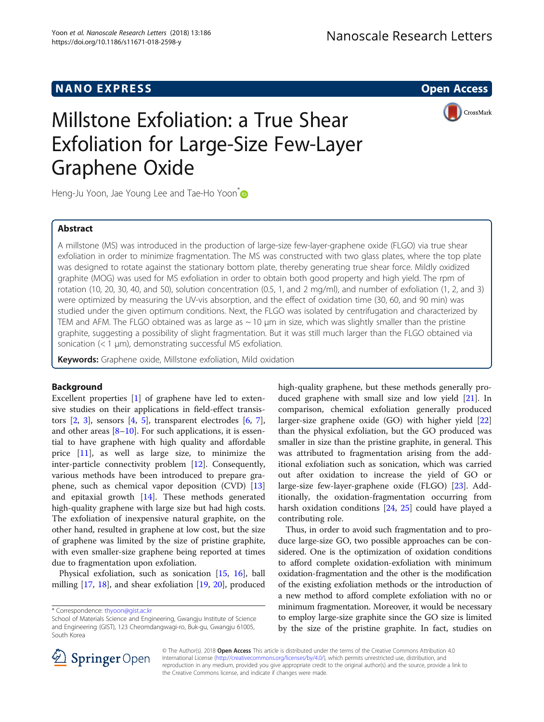# NANO EXPRESS CONTROL CONTROL CONTROL CONTROL CONTROL CONTROL CONTROL CONTROL CONTROL CONTROL CONTROL CONTROL CO

CrossMark



Heng-Ju Yoon, Jae Young Lee and Tae-Ho Yoon<sup>\*</sup>

# Abstract

A millstone (MS) was introduced in the production of large-size few-layer-graphene oxide (FLGO) via true shear exfoliation in order to minimize fragmentation. The MS was constructed with two glass plates, where the top plate was designed to rotate against the stationary bottom plate, thereby generating true shear force. Mildly oxidized graphite (MOG) was used for MS exfoliation in order to obtain both good property and high yield. The rpm of rotation (10, 20, 30, 40, and 50), solution concentration (0.5, 1, and 2 mg/ml), and number of exfoliation (1, 2, and 3) were optimized by measuring the UV-vis absorption, and the effect of oxidation time (30, 60, and 90 min) was studied under the given optimum conditions. Next, the FLGO was isolated by centrifugation and characterized by TEM and AFM. The FLGO obtained was as large as  $\sim$  10  $\mu$ m in size, which was slightly smaller than the pristine graphite, suggesting a possibility of slight fragmentation. But it was still much larger than the FLGO obtained via sonication (< 1 μm), demonstrating successful MS exfoliation.

Keywords: Graphene oxide, Millstone exfoliation, Mild oxidation

# Background

Excellent properties [[1\]](#page-6-0) of graphene have led to extensive studies on their applications in field-effect transistors  $[2, 3]$  $[2, 3]$  $[2, 3]$  $[2, 3]$  $[2, 3]$ , sensors  $[4, 5]$  $[4, 5]$  $[4, 5]$ , transparent electrodes  $[6, 7]$  $[6, 7]$  $[6, 7]$  $[6, 7]$  $[6, 7]$ , and other areas  $[8-10]$  $[8-10]$  $[8-10]$  $[8-10]$ . For such applications, it is essential to have graphene with high quality and affordable price [\[11](#page-6-0)], as well as large size, to minimize the inter-particle connectivity problem [\[12](#page-6-0)]. Consequently, various methods have been introduced to prepare graphene, such as chemical vapor deposition (CVD) [[13](#page-6-0)] and epitaxial growth [[14\]](#page-6-0). These methods generated high-quality graphene with large size but had high costs. The exfoliation of inexpensive natural graphite, on the other hand, resulted in graphene at low cost, but the size of graphene was limited by the size of pristine graphite, with even smaller-size graphene being reported at times due to fragmentation upon exfoliation.

Physical exfoliation, such as sonication [\[15,](#page-6-0) [16\]](#page-6-0), ball milling [[17,](#page-6-0) [18\]](#page-6-0), and shear exfoliation [\[19](#page-6-0), [20](#page-6-0)], produced high-quality graphene, but these methods generally produced graphene with small size and low yield [\[21\]](#page-6-0). In comparison, chemical exfoliation generally produced larger-size graphene oxide (GO) with higher yield [[22](#page-6-0)] than the physical exfoliation, but the GO produced was smaller in size than the pristine graphite, in general. This was attributed to fragmentation arising from the additional exfoliation such as sonication, which was carried out after oxidation to increase the yield of GO or large-size few-layer-graphene oxide (FLGO) [[23](#page-6-0)]. Additionally, the oxidation-fragmentation occurring from harsh oxidation conditions [[24,](#page-6-0) [25](#page-6-0)] could have played a contributing role.

Thus, in order to avoid such fragmentation and to produce large-size GO, two possible approaches can be considered. One is the optimization of oxidation conditions to afford complete oxidation-exfoliation with minimum oxidation-fragmentation and the other is the modification of the existing exfoliation methods or the introduction of a new method to afford complete exfoliation with no or minimum fragmentation. Moreover, it would be necessary to employ large-size graphite since the GO size is limited by the size of the pristine graphite. In fact, studies on



© The Author(s). 2018 Open Access This article is distributed under the terms of the Creative Commons Attribution 4.0 International License ([http://creativecommons.org/licenses/by/4.0/\)](http://creativecommons.org/licenses/by/4.0/), which permits unrestricted use, distribution, and reproduction in any medium, provided you give appropriate credit to the original author(s) and the source, provide a link to the Creative Commons license, and indicate if changes were made.

<sup>\*</sup> Correspondence: [thyoon@gist.ac.kr](mailto:thyoon@gist.ac.kr)

School of Materials Science and Engineering, Gwangju Institute of Science and Engineering (GIST), 123 Cheomdangwagi-ro, Buk-gu, Gwangju 61005, South Korea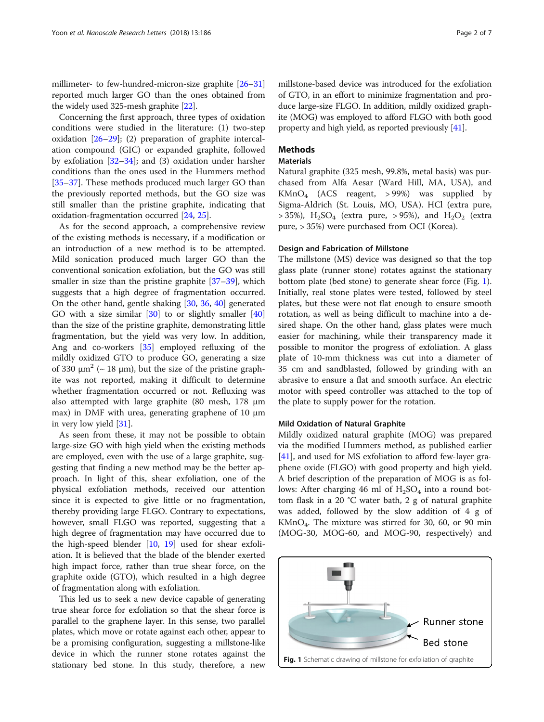millimeter- to few-hundred-micron-size graphite [\[26](#page-6-0)–[31](#page-6-0)] reported much larger GO than the ones obtained from the widely used 325-mesh graphite [\[22](#page-6-0)].

Concerning the first approach, three types of oxidation conditions were studied in the literature: (1) two-step oxidation  $[26-29]$  $[26-29]$  $[26-29]$  $[26-29]$  $[26-29]$ ; (2) preparation of graphite intercalation compound (GIC) or expanded graphite, followed by exfoliation [\[32](#page-6-0)–[34\]](#page-6-0); and (3) oxidation under harsher conditions than the ones used in the Hummers method [[35](#page-6-0)–[37](#page-6-0)]. These methods produced much larger GO than the previously reported methods, but the GO size was still smaller than the pristine graphite, indicating that oxidation-fragmentation occurred [\[24](#page-6-0), [25](#page-6-0)].

As for the second approach, a comprehensive review of the existing methods is necessary, if a modification or an introduction of a new method is to be attempted. Mild sonication produced much larger GO than the conventional sonication exfoliation, but the GO was still smaller in size than the pristine graphite [[37](#page-6-0)–[39](#page-6-0)], which suggests that a high degree of fragmentation occurred. On the other hand, gentle shaking [\[30](#page-6-0), [36](#page-6-0), [40](#page-6-0)] generated GO with a size similar [[30\]](#page-6-0) to or slightly smaller [[40](#page-6-0)] than the size of the pristine graphite, demonstrating little fragmentation, but the yield was very low. In addition, Ang and co-workers [\[35\]](#page-6-0) employed refluxing of the mildly oxidized GTO to produce GO, generating a size of 330  $\mu$ m<sup>2</sup> (~ 18  $\mu$ m), but the size of the pristine graphite was not reported, making it difficult to determine whether fragmentation occurred or not. Refluxing was also attempted with large graphite (80 mesh, 178 μm max) in DMF with urea, generating graphene of 10 μm in very low yield [\[31](#page-6-0)].

As seen from these, it may not be possible to obtain large-size GO with high yield when the existing methods are employed, even with the use of a large graphite, suggesting that finding a new method may be the better approach. In light of this, shear exfoliation, one of the physical exfoliation methods, received our attention since it is expected to give little or no fragmentation, thereby providing large FLGO. Contrary to expectations, however, small FLGO was reported, suggesting that a high degree of fragmentation may have occurred due to the high-speed blender [[10,](#page-6-0) [19\]](#page-6-0) used for shear exfoliation. It is believed that the blade of the blender exerted high impact force, rather than true shear force, on the graphite oxide (GTO), which resulted in a high degree of fragmentation along with exfoliation.

This led us to seek a new device capable of generating true shear force for exfoliation so that the shear force is parallel to the graphene layer. In this sense, two parallel plates, which move or rotate against each other, appear to be a promising configuration, suggesting a millstone-like device in which the runner stone rotates against the stationary bed stone. In this study, therefore, a new

millstone-based device was introduced for the exfoliation of GTO, in an effort to minimize fragmentation and produce large-size FLGO. In addition, mildly oxidized graphite (MOG) was employed to afford FLGO with both good property and high yield, as reported previously [\[41](#page-6-0)].

## **Methods**

#### **Materials**

Natural graphite (325 mesh, 99.8%, metal basis) was purchased from Alfa Aesar (Ward Hill, MA, USA), and  $KMnO<sub>4</sub>$  (ACS reagent, >99%) was supplied by Sigma-Aldrich (St. Louis, MO, USA). HCl (extra pure,  $> 35\%$ ), H<sub>2</sub>SO<sub>4</sub> (extra pure,  $> 95\%$ ), and H<sub>2</sub>O<sub>2</sub> (extra pure, > 35%) were purchased from OCI (Korea).

### Design and Fabrication of Millstone

The millstone (MS) device was designed so that the top glass plate (runner stone) rotates against the stationary bottom plate (bed stone) to generate shear force (Fig. 1). Initially, real stone plates were tested, followed by steel plates, but these were not flat enough to ensure smooth rotation, as well as being difficult to machine into a desired shape. On the other hand, glass plates were much easier for machining, while their transparency made it possible to monitor the progress of exfoliation. A glass plate of 10-mm thickness was cut into a diameter of 35 cm and sandblasted, followed by grinding with an abrasive to ensure a flat and smooth surface. An electric motor with speed controller was attached to the top of the plate to supply power for the rotation.

### Mild Oxidation of Natural Graphite

Mildly oxidized natural graphite (MOG) was prepared via the modified Hummers method, as published earlier [[41\]](#page-6-0), and used for MS exfoliation to afford few-layer graphene oxide (FLGO) with good property and high yield. A brief description of the preparation of MOG is as follows: After charging 46 ml of  $H_2SO_4$  into a round bottom flask in a 20 °C water bath, 2 g of natural graphite was added, followed by the slow addition of 4 g of  $KMnO<sub>4</sub>$ . The mixture was stirred for 30, 60, or 90 min (MOG-30, MOG-60, and MOG-90, respectively) and

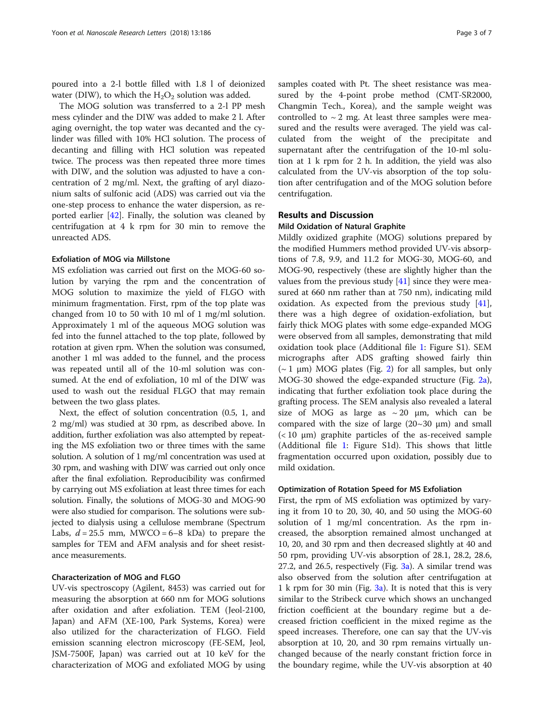poured into a 2-l bottle filled with 1.8 l of deionized water (DIW), to which the  $H_2O_2$  solution was added.

The MOG solution was transferred to a 2-l PP mesh mess cylinder and the DIW was added to make 2 l. After aging overnight, the top water was decanted and the cylinder was filled with 10% HCl solution. The process of decanting and filling with HCl solution was repeated twice. The process was then repeated three more times with DIW, and the solution was adjusted to have a concentration of 2 mg/ml. Next, the grafting of aryl diazonium salts of sulfonic acid (ADS) was carried out via the one-step process to enhance the water dispersion, as reported earlier [\[42](#page-6-0)]. Finally, the solution was cleaned by centrifugation at 4 k rpm for 30 min to remove the unreacted ADS.

### Exfoliation of MOG via Millstone

MS exfoliation was carried out first on the MOG-60 solution by varying the rpm and the concentration of MOG solution to maximize the yield of FLGO with minimum fragmentation. First, rpm of the top plate was changed from 10 to 50 with 10 ml of 1 mg/ml solution. Approximately 1 ml of the aqueous MOG solution was fed into the funnel attached to the top plate, followed by rotation at given rpm. When the solution was consumed, another 1 ml was added to the funnel, and the process was repeated until all of the 10-ml solution was consumed. At the end of exfoliation, 10 ml of the DIW was used to wash out the residual FLGO that may remain between the two glass plates.

Next, the effect of solution concentration (0.5, 1, and 2 mg/ml) was studied at 30 rpm, as described above. In addition, further exfoliation was also attempted by repeating the MS exfoliation two or three times with the same solution. A solution of 1 mg/ml concentration was used at 30 rpm, and washing with DIW was carried out only once after the final exfoliation. Reproducibility was confirmed by carrying out MS exfoliation at least three times for each solution. Finally, the solutions of MOG-30 and MOG-90 were also studied for comparison. The solutions were subjected to dialysis using a cellulose membrane (Spectrum Labs,  $d = 25.5$  mm, MWCO = 6–8 kDa) to prepare the samples for TEM and AFM analysis and for sheet resistance measurements.

### Characterization of MOG and FLGO

UV-vis spectroscopy (Agilent, 8453) was carried out for measuring the absorption at 660 nm for MOG solutions after oxidation and after exfoliation. TEM (Jeol-2100, Japan) and AFM (XE-100, Park Systems, Korea) were also utilized for the characterization of FLGO. Field emission scanning electron microscopy (FE-SEM, Jeol, JSM-7500F, Japan) was carried out at 10 keV for the characterization of MOG and exfoliated MOG by using samples coated with Pt. The sheet resistance was measured by the 4-point probe method (CMT-SR2000, Changmin Tech., Korea), and the sample weight was controlled to  $\sim$  2 mg. At least three samples were measured and the results were averaged. The yield was calculated from the weight of the precipitate and supernatant after the centrifugation of the 10-ml solution at 1 k rpm for 2 h. In addition, the yield was also calculated from the UV-vis absorption of the top solution after centrifugation and of the MOG solution before centrifugation.

# Results and Discussion

#### Mild Oxidation of Natural Graphite

Mildly oxidized graphite (MOG) solutions prepared by the modified Hummers method provided UV-vis absorptions of 7.8, 9.9, and 11.2 for MOG-30, MOG-60, and MOG-90, respectively (these are slightly higher than the values from the previous study  $[41]$  $[41]$  since they were measured at 660 nm rather than at 750 nm), indicating mild oxidation. As expected from the previous study [\[41](#page-6-0)], there was a high degree of oxidation-exfoliation, but fairly thick MOG plates with some edge-expanded MOG were observed from all samples, demonstrating that mild oxidation took place (Additional file [1](#page-5-0): Figure S1). SEM micrographs after ADS grafting showed fairly thin ( $\sim$  1 μm) MOG plates (Fig. [2](#page-3-0)) for all samples, but only MOG-30 showed the edge-expanded structure (Fig. [2a](#page-3-0)), indicating that further exfoliation took place during the grafting process. The SEM analysis also revealed a lateral size of MOG as large as  $\sim 20$  µm, which can be compared with the size of large  $(20~30~\mu m)$  and small  $(< 10 \mu m$ ) graphite particles of the as-received sample (Additional file [1](#page-5-0): Figure S1d). This shows that little fragmentation occurred upon oxidation, possibly due to mild oxidation.

#### Optimization of Rotation Speed for MS Exfoliation

First, the rpm of MS exfoliation was optimized by varying it from 10 to 20, 30, 40, and 50 using the MOG-60 solution of 1 mg/ml concentration. As the rpm increased, the absorption remained almost unchanged at 10, 20, and 30 rpm and then decreased slightly at 40 and 50 rpm, providing UV-vis absorption of 28.1, 28.2, 28.6, 27.2, and 26.5, respectively (Fig. [3a](#page-3-0)). A similar trend was also observed from the solution after centrifugation at 1 k rpm for 30 min (Fig. [3a\)](#page-3-0). It is noted that this is very similar to the Stribeck curve which shows an unchanged friction coefficient at the boundary regime but a decreased friction coefficient in the mixed regime as the speed increases. Therefore, one can say that the UV-vis absorption at 10, 20, and 30 rpm remains virtually unchanged because of the nearly constant friction force in the boundary regime, while the UV-vis absorption at 40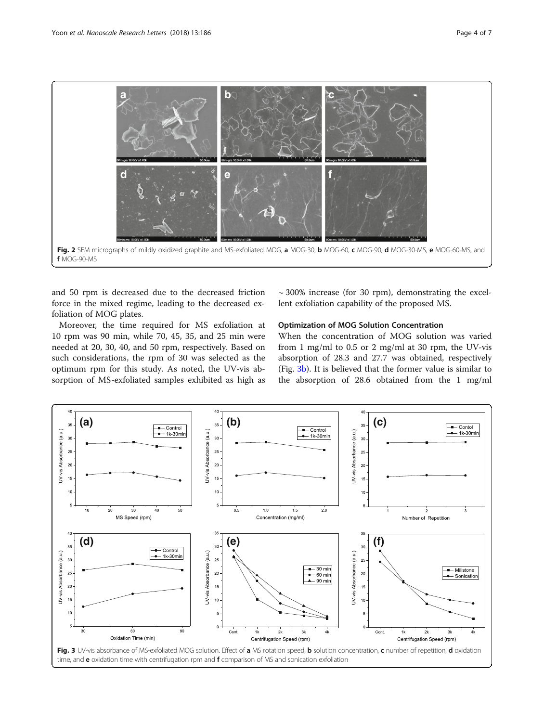<span id="page-3-0"></span>

and 50 rpm is decreased due to the decreased friction force in the mixed regime, leading to the decreased exfoliation of MOG plates.

Moreover, the time required for MS exfoliation at 10 rpm was 90 min, while 70, 45, 35, and 25 min were needed at 20, 30, 40, and 50 rpm, respectively. Based on such considerations, the rpm of 30 was selected as the optimum rpm for this study. As noted, the UV-vis absorption of MS-exfoliated samples exhibited as high as

 $\sim$  300% increase (for 30 rpm), demonstrating the excellent exfoliation capability of the proposed MS.

## Optimization of MOG Solution Concentration

When the concentration of MOG solution was varied from 1 mg/ml to 0.5 or 2 mg/ml at 30 rpm, the UV-vis absorption of 28.3 and 27.7 was obtained, respectively (Fig. 3b). It is believed that the former value is similar to the absorption of 28.6 obtained from the 1 mg/ml

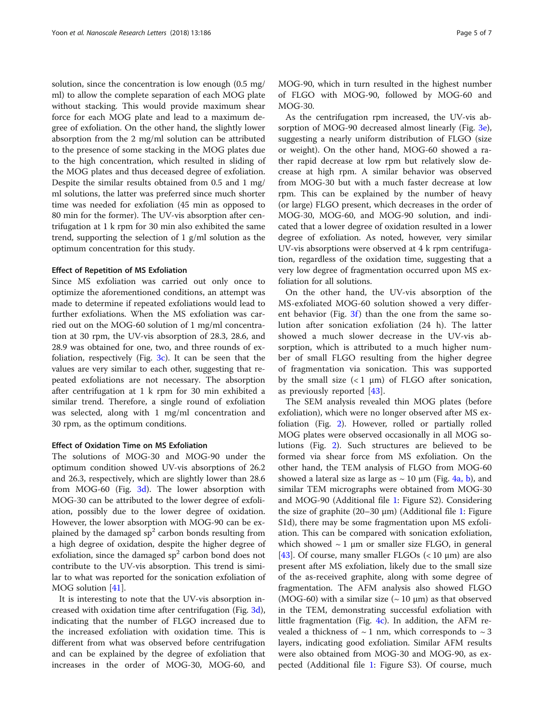solution, since the concentration is low enough (0.5 mg/ ml) to allow the complete separation of each MOG plate without stacking. This would provide maximum shear force for each MOG plate and lead to a maximum degree of exfoliation. On the other hand, the slightly lower absorption from the 2 mg/ml solution can be attributed to the presence of some stacking in the MOG plates due to the high concentration, which resulted in sliding of the MOG plates and thus deceased degree of exfoliation. Despite the similar results obtained from 0.5 and 1 mg/ ml solutions, the latter was preferred since much shorter time was needed for exfoliation (45 min as opposed to 80 min for the former). The UV-vis absorption after centrifugation at 1 k rpm for 30 min also exhibited the same trend, supporting the selection of 1 g/ml solution as the optimum concentration for this study.

### Effect of Repetition of MS Exfoliation

Since MS exfoliation was carried out only once to optimize the aforementioned conditions, an attempt was made to determine if repeated exfoliations would lead to further exfoliations. When the MS exfoliation was carried out on the MOG-60 solution of 1 mg/ml concentration at 30 rpm, the UV-vis absorption of 28.3, 28.6, and 28.9 was obtained for one, two, and three rounds of exfoliation, respectively (Fig.  $3c$ ). It can be seen that the values are very similar to each other, suggesting that repeated exfoliations are not necessary. The absorption after centrifugation at 1 k rpm for 30 min exhibited a similar trend. Therefore, a single round of exfoliation was selected, along with 1 mg/ml concentration and 30 rpm, as the optimum conditions.

### Effect of Oxidation Time on MS Exfoliation

The solutions of MOG-30 and MOG-90 under the optimum condition showed UV-vis absorptions of 26.2 and 26.3, respectively, which are slightly lower than 28.6 from MOG-60 (Fig. [3d](#page-3-0)). The lower absorption with MOG-30 can be attributed to the lower degree of exfoliation, possibly due to the lower degree of oxidation. However, the lower absorption with MOG-90 can be explained by the damaged  $sp<sup>2</sup>$  carbon bonds resulting from a high degree of oxidation, despite the higher degree of exfoliation, since the damaged  $sp<sup>2</sup>$  carbon bond does not contribute to the UV-vis absorption. This trend is similar to what was reported for the sonication exfoliation of MOG solution [[41\]](#page-6-0).

It is interesting to note that the UV-vis absorption increased with oxidation time after centrifugation (Fig. [3d](#page-3-0)), indicating that the number of FLGO increased due to the increased exfoliation with oxidation time. This is different from what was observed before centrifugation and can be explained by the degree of exfoliation that increases in the order of MOG-30, MOG-60, and MOG-90, which in turn resulted in the highest number of FLGO with MOG-90, followed by MOG-60 and MOG-30.

As the centrifugation rpm increased, the UV-vis absorption of MOG-90 decreased almost linearly (Fig. [3e](#page-3-0)), suggesting a nearly uniform distribution of FLGO (size or weight). On the other hand, MOG-60 showed a rather rapid decrease at low rpm but relatively slow decrease at high rpm. A similar behavior was observed from MOG-30 but with a much faster decrease at low rpm. This can be explained by the number of heavy (or large) FLGO present, which decreases in the order of MOG-30, MOG-60, and MOG-90 solution, and indicated that a lower degree of oxidation resulted in a lower degree of exfoliation. As noted, however, very similar UV-vis absorptions were observed at 4 k rpm centrifugation, regardless of the oxidation time, suggesting that a very low degree of fragmentation occurred upon MS exfoliation for all solutions.

On the other hand, the UV-vis absorption of the MS-exfoliated MOG-60 solution showed a very different behavior (Fig.  $3f$ ) than the one from the same solution after sonication exfoliation (24 h). The latter showed a much slower decrease in the UV-vis absorption, which is attributed to a much higher number of small FLGO resulting from the higher degree of fragmentation via sonication. This was supported by the small size  $(< 1 \mu m)$  of FLGO after sonication, as previously reported [\[43](#page-6-0)].

The SEM analysis revealed thin MOG plates (before exfoliation), which were no longer observed after MS exfoliation (Fig. [2](#page-3-0)). However, rolled or partially rolled MOG plates were observed occasionally in all MOG solutions (Fig. [2\)](#page-3-0). Such structures are believed to be formed via shear force from MS exfoliation. On the other hand, the TEM analysis of FLGO from MOG-60 showed a lateral size as large as  $\sim$  10  $\mu$ m (Fig. [4a, b](#page-5-0)), and similar TEM micrographs were obtained from MOG-30 and MOG-90 (Additional file [1](#page-5-0): Figure S2). Considering the size of graphite  $(20-30 \mu m)$  (Additional file [1:](#page-5-0) Figure S1d), there may be some fragmentation upon MS exfoliation. This can be compared with sonication exfoliation, which showed  $\sim$  1 µm or smaller size FLGO, in general [[43\]](#page-6-0). Of course, many smaller FLGOs  $(< 10 \mu m)$  are also present after MS exfoliation, likely due to the small size of the as-received graphite, along with some degree of fragmentation. The AFM analysis also showed FLGO (MOG-60) with a similar size  $({\sim}10 \,\mu m)$  as that observed in the TEM, demonstrating successful exfoliation with little fragmentation (Fig. [4c\)](#page-5-0). In addition, the AFM revealed a thickness of  $\sim$  1 nm, which corresponds to  $\sim$  3 layers, indicating good exfoliation. Similar AFM results were also obtained from MOG-30 and MOG-90, as expected (Additional file [1](#page-5-0): Figure S3). Of course, much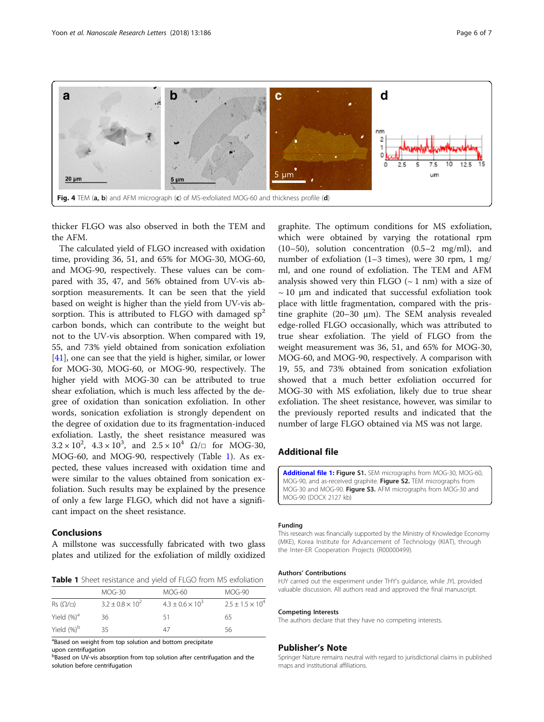<span id="page-5-0"></span>

thicker FLGO was also observed in both the TEM and the AFM.

The calculated yield of FLGO increased with oxidation time, providing 36, 51, and 65% for MOG-30, MOG-60, and MOG-90, respectively. These values can be compared with 35, 47, and 56% obtained from UV-vis absorption measurements. It can be seen that the yield based on weight is higher than the yield from UV-vis absorption. This is attributed to FLGO with damaged  $sp<sup>2</sup>$ carbon bonds, which can contribute to the weight but not to the UV-vis absorption. When compared with 19, 55, and 73% yield obtained from sonication exfoliation [[41\]](#page-6-0), one can see that the yield is higher, similar, or lower for MOG-30, MOG-60, or MOG-90, respectively. The higher yield with MOG-30 can be attributed to true shear exfoliation, which is much less affected by the degree of oxidation than sonication exfoliation. In other words, sonication exfoliation is strongly dependent on the degree of oxidation due to its fragmentation-induced exfoliation. Lastly, the sheet resistance measured was  $3.2 \times 10^2$ ,  $4.3 \times 10^3$ , and  $2.5 \times 10^4$   $\Omega/\Box$  for MOG-30, MOG-60, and MOG-90, respectively (Table 1). As expected, these values increased with oxidation time and were similar to the values obtained from sonication exfoliation. Such results may be explained by the presence of only a few large FLGO, which did not have a significant impact on the sheet resistance.

# Conclusions

A millstone was successfully fabricated with two glass plates and utilized for the exfoliation of mildly oxidized

Table 1 Sheet resistance and yield of FLGO from MS exfoliation

|                                 | $MOG-30$                    | MOG-60                      | MOG-90                  |
|---------------------------------|-----------------------------|-----------------------------|-------------------------|
| $\mathsf{Rs}$ ( $\Omega/\Box$ ) | $3.2 \pm 0.8 \times 10^{2}$ | $4.3 \pm 0.6 \times 10^{3}$ | $2.5 + 1.5 \times 10^4$ |
| Yield (%) <sup>a</sup>          | 36                          | 51                          | 65                      |
| Yield $(%)^b$                   | 35                          | 47                          | 56                      |

<sup>a</sup>Based on weight from top solution and bottom precipitate upon centrifugation

**b**Based on UV-vis absorption from top solution after centrifugation and the solution before centrifugation

graphite. The optimum conditions for MS exfoliation, which were obtained by varying the rotational rpm (10–50), solution concentration (0.5–2 mg/ml), and number of exfoliation (1–3 times), were 30 rpm, 1 mg/ ml, and one round of exfoliation. The TEM and AFM analysis showed very thin FLGO  $({\sim}1$  nm) with a size of  $\sim$  10  $\mu$ m and indicated that successful exfoliation took place with little fragmentation, compared with the pristine graphite (20–30 μm). The SEM analysis revealed edge-rolled FLGO occasionally, which was attributed to true shear exfoliation. The yield of FLGO from the weight measurement was 36, 51, and 65% for MOG-30, MOG-60, and MOG-90, respectively. A comparison with 19, 55, and 73% obtained from sonication exfoliation showed that a much better exfoliation occurred for MOG-30 with MS exfoliation, likely due to true shear exfoliation. The sheet resistance, however, was similar to the previously reported results and indicated that the number of large FLGO obtained via MS was not large.

# Additional file

[Additional file 1:](https://doi.org/10.1186/s11671-018-2598-y) Figure S1. SEM micrographs from MOG-30, MOG-60, MOG-90, and as-received graphite. Figure S2. TEM micrographs from MOG-30 and MOG-90. Figure S3. AFM micrographs from MOG-30 and MOG-90 (DOCX 2127 kb)

#### Funding

This research was financially supported by the Ministry of Knowledge Economy (MKE), Korea Institute for Advancement of Technology (KIAT), through the Inter-ER Cooperation Projects (R00000499).

#### Authors' Contributions

HJY carried out the experiment under THY's guidance, while JYL provided valuable discussion. All authors read and approved the final manuscript.

#### Competing Interests

The authors declare that they have no competing interests.

#### Publisher's Note

Springer Nature remains neutral with regard to jurisdictional claims in published maps and institutional affiliations.